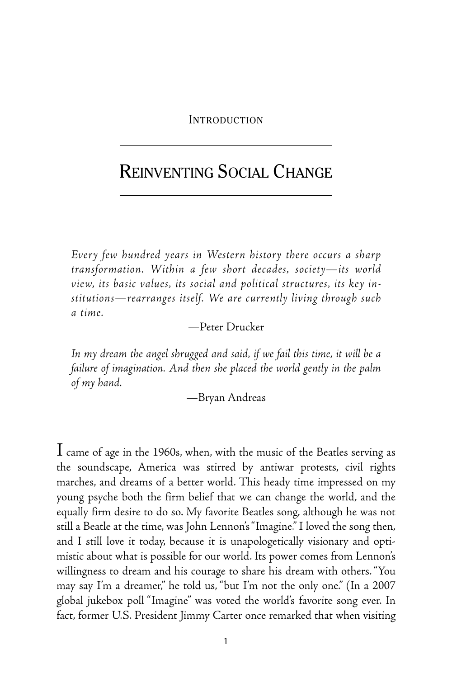## **INTRODUCTION**

## REINVENTING SOCIAL CHANGE

Every few hundred years in Western history there occurs a sharp transformation. Within a few short decades, society—its world view, its basic values, its social and political structures, its key institutions—rearranges itself. We are currently living through such a time.

—Peter Drucker

In my dream the angel shrugged and said, if we fail this time, it will be a failure of imagination. And then she placed the world gently in the palm of my hand.

—Bryan Andreas

I came of age in the 1960s, when, with the music of the Beatles serving as the soundscape, America was stirred by antiwar protests, civil rights marches, and dreams of a better world. This heady time impressed on my young psyche both the firm belief that we can change the world, and the equally firm desire to do so. My favorite Beatles song, although he was not still a Beatle at the time, was John Lennon's "Imagine." I loved the song then, and I still love it today, because it is unapologetically visionary and optimistic about what is possible for our world. Its power comes from Lennon's willingness to dream and his courage to share his dream with others. "You may say I'm a dreamer," he told us, "but I'm not the only one." (In a 2007 global jukebox poll "Imagine" was voted the world's favorite song ever. In fact, former U.S. President Jimmy Carter once remarked that when visiting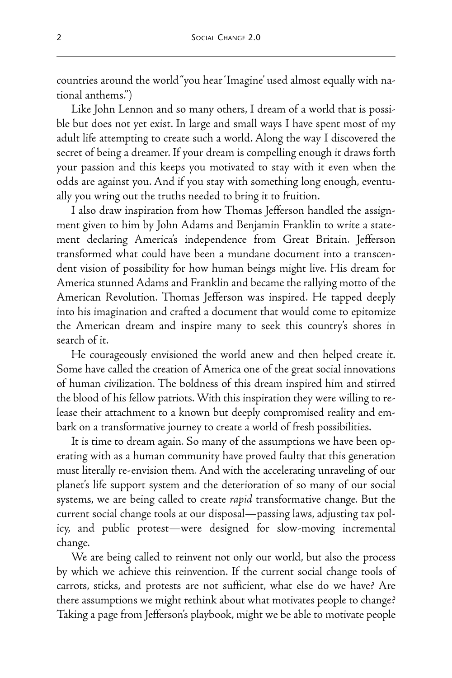countries around the world "you hear 'Imagine' used almost equally with national anthems.")

Like John Lennon and so many others, I dream of a world that is possible but does not yet exist. In large and small ways I have spent most of my adult life attempting to create such a world. Along the way I discovered the secret of being a dreamer. If your dream is compelling enough it draws forth your passion and this keeps you motivated to stay with it even when the odds are against you. And if you stay with something long enough, eventually you wring out the truths needed to bring it to fruition.

I also draw inspiration from how Thomas Jefferson handled the assignment given to him by John Adams and Benjamin Franklin to write a statement declaring America's independence from Great Britain. Jefferson transformed what could have been a mundane document into a transcendent vision of possibility for how human beings might live. His dream for America stunned Adams and Franklin and became the rallying motto of the American Revolution. Thomas Jefferson was inspired. He tapped deeply into his imagination and crafted a document that would come to epitomize the American dream and inspire many to seek this country's shores in search of it.

He courageously envisioned the world anew and then helped create it. Some have called the creation of America one of the great social innovations of human civilization. The boldness of this dream inspired him and stirred the blood of his fellow patriots. With this inspiration they were willing to release their attachment to a known but deeply compromised reality and embark on a transformative journey to create a world of fresh possibilities.

It is time to dream again. So many of the assumptions we have been operating with as a human community have proved faulty that this generation must literally re-envision them. And with the accelerating unraveling of our planet's life support system and the deterioration of so many of our social systems, we are being called to create rapid transformative change. But the current social change tools at our disposal—passing laws, adjusting tax policy, and public protest—were designed for slow-moving incremental change.

We are being called to reinvent not only our world, but also the process by which we achieve this reinvention. If the current social change tools of carrots, sticks, and protests are not sufficient, what else do we have? Are there assumptions we might rethink about what motivates people to change? Taking a page from Jefferson's playbook, might we be able to motivate people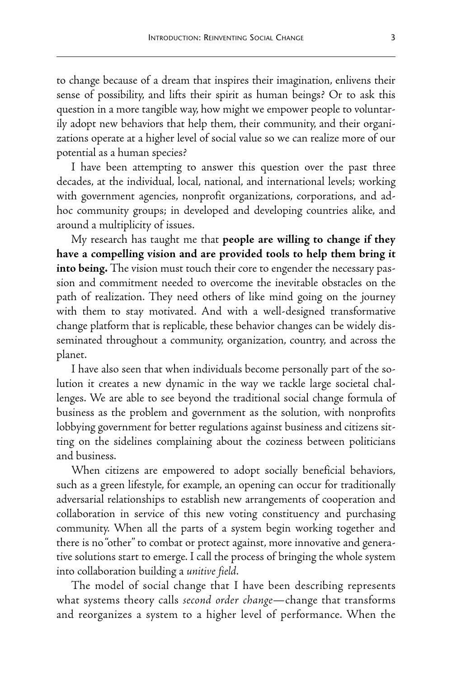to change because of a dream that inspires their imagination, enlivens their sense of possibility, and lifts their spirit as human beings? Or to ask this question in a more tangible way, how might we empower people to voluntarily adopt new behaviors that help them, their community, and their organizations operate at a higher level of social value so we can realize more of our potential as a human species?

I have been attempting to answer this question over the past three decades, at the individual, local, national, and international levels; working with government agencies, nonprofit organizations, corporations, and adhoc community groups; in developed and developing countries alike, and around a multiplicity of issues.

My research has taught me that **people are willing to change if they have a compelling vision and are provided tools to help them bring it into being.** The vision must touch their core to engender the necessary passion and commitment needed to overcome the inevitable obstacles on the path of realization. They need others of like mind going on the journey with them to stay motivated. And with a well-designed transformative change platform that is replicable, these behavior changes can be widely disseminated throughout a community, organization, country, and across the planet.

I have also seen that when individuals become personally part of the solution it creates a new dynamic in the way we tackle large societal challenges. We are able to see beyond the traditional social change formula of business as the problem and government as the solution, with nonprofits lobbying government for better regulations against business and citizens sitting on the sidelines complaining about the coziness between politicians and business.

When citizens are empowered to adopt socially beneficial behaviors, such as a green lifestyle, for example, an opening can occur for traditionally adversarial relationships to establish new arrangements of cooperation and collaboration in service of this new voting constituency and purchasing community. When all the parts of a system begin working together and there is no "other" to combat or protect against, more innovative and generative solutions start to emerge. I call the process of bringing the whole system into collaboration building a unitive field.

The model of social change that I have been describing represents what systems theory calls second order change—change that transforms and reorganizes a system to a higher level of performance. When the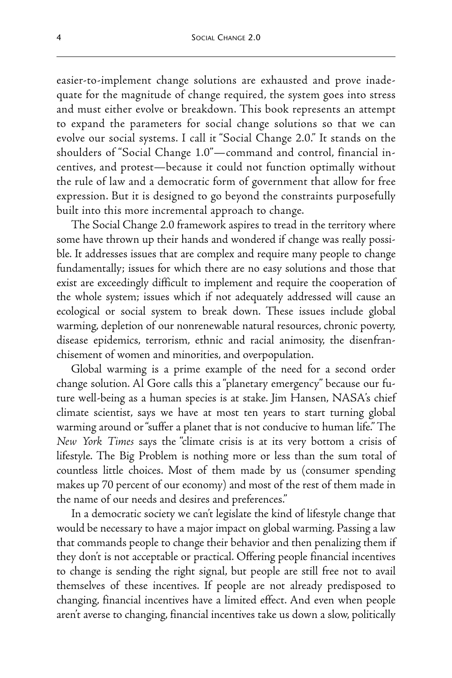easier-to-implement change solutions are exhausted and prove inadequate for the magnitude of change required, the system goes into stress and must either evolve or breakdown. This book represents an attempt to expand the parameters for social change solutions so that we can evolve our social systems. I call it "Social Change 2.0." It stands on the shoulders of "Social Change 1.0"—command and control, financial incentives, and protest—because it could not function optimally without the rule of law and a democratic form of government that allow for free expression. But it is designed to go beyond the constraints purposefully built into this more incremental approach to change.

The Social Change 2.0 framework aspires to tread in the territory where some have thrown up their hands and wondered if change was really possible. It addresses issues that are complex and require many people to change fundamentally; issues for which there are no easy solutions and those that exist are exceedingly difficult to implement and require the cooperation of the whole system; issues which if not adequately addressed will cause an ecological or social system to break down. These issues include global warming, depletion of our nonrenewable natural resources, chronic poverty, disease epidemics, terrorism, ethnic and racial animosity, the disenfranchisement of women and minorities, and overpopulation.

Global warming is a prime example of the need for a second order change solution. Al Gore calls this a "planetary emergency" because our future well-being as a human species is at stake. Jim Hansen, NASA's chief climate scientist, says we have at most ten years to start turning global warming around or "suffer a planet that is not conducive to human life." The New York Times says the "climate crisis is at its very bottom a crisis of lifestyle. The Big Problem is nothing more or less than the sum total of countless little choices. Most of them made by us (consumer spending makes up 70 percent of our economy) and most of the rest of them made in the name of our needs and desires and preferences."

In a democratic society we can't legislate the kind of lifestyle change that would be necessary to have a major impact on global warming. Passing a law that commands people to change their behavior and then penalizing them if they don't is not acceptable or practical. Offering people financial incentives to change is sending the right signal, but people are still free not to avail themselves of these incentives. If people are not already predisposed to changing, financial incentives have a limited effect. And even when people aren't averse to changing, financial incentives take us down a slow, politically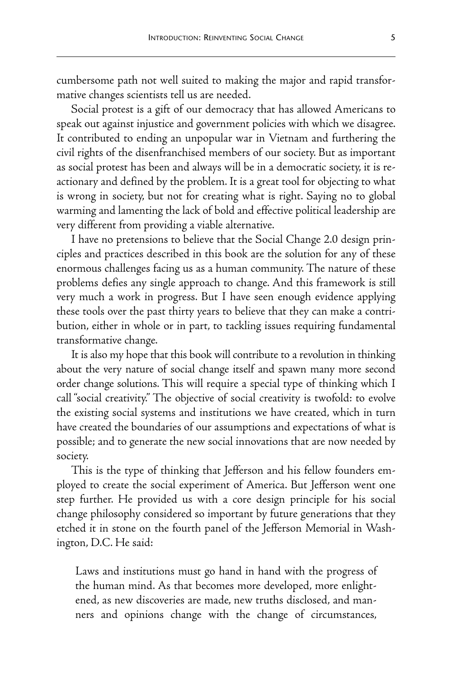cumbersome path not well suited to making the major and rapid transformative changes scientists tell us are needed.

Social protest is a gift of our democracy that has allowed Americans to speak out against injustice and government policies with which we disagree. It contributed to ending an unpopular war in Vietnam and furthering the civil rights of the disenfranchised members of our society. But as important as social protest has been and always will be in a democratic society, it is reactionary and defined by the problem. It is a great tool for objecting to what is wrong in society, but not for creating what is right. Saying no to global warming and lamenting the lack of bold and effective political leadership are very different from providing a viable alternative.

I have no pretensions to believe that the Social Change 2.0 design principles and practices described in this book are the solution for any of these enormous challenges facing us as a human community. The nature of these problems defies any single approach to change. And this framework is still very much a work in progress. But I have seen enough evidence applying these tools over the past thirty years to believe that they can make a contribution, either in whole or in part, to tackling issues requiring fundamental transformative change.

It is also my hope that this book will contribute to a revolution in thinking about the very nature of social change itself and spawn many more second order change solutions. This will require a special type of thinking which I call "social creativity." The objective of social creativity is twofold: to evolve the existing social systems and institutions we have created, which in turn have created the boundaries of our assumptions and expectations of what is possible; and to generate the new social innovations that are now needed by society.

This is the type of thinking that Jefferson and his fellow founders employed to create the social experiment of America. But Jefferson went one step further. He provided us with a core design principle for his social change philosophy considered so important by future generations that they etched it in stone on the fourth panel of the Jefferson Memorial in Washington, D.C. He said:

Laws and institutions must go hand in hand with the progress of the human mind. As that becomes more developed, more enlightened, as new discoveries are made, new truths disclosed, and manners and opinions change with the change of circumstances,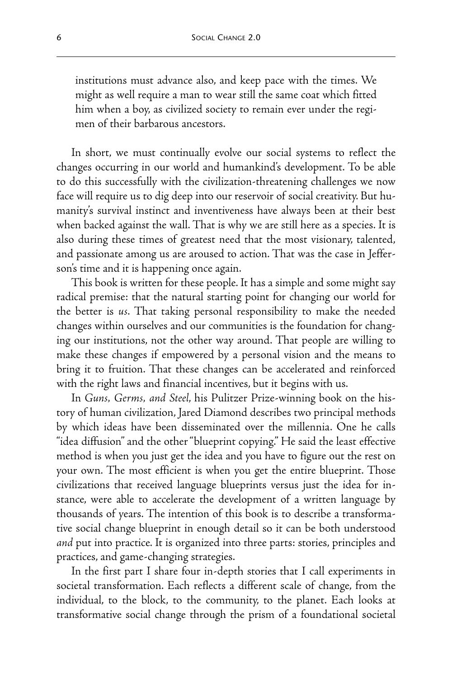institutions must advance also, and keep pace with the times. We might as well require a man to wear still the same coat which fitted him when a boy, as civilized society to remain ever under the regimen of their barbarous ancestors.

In short, we must continually evolve our social systems to reflect the changes occurring in our world and humankind's development. To be able to do this successfully with the civilization-threatening challenges we now face will require us to dig deep into our reservoir of social creativity. But humanity's survival instinct and inventiveness have always been at their best when backed against the wall. That is why we are still here as a species. It is also during these times of greatest need that the most visionary, talented, and passionate among us are aroused to action. That was the case in Jefferson's time and it is happening once again.

This book is written for these people. It has a simple and some might say radical premise: that the natural starting point for changing our world for the better is us. That taking personal responsibility to make the needed changes within ourselves and our communities is the foundation for changing our institutions, not the other way around. That people are willing to make these changes if empowered by a personal vision and the means to bring it to fruition. That these changes can be accelerated and reinforced with the right laws and financial incentives, but it begins with us.

In Guns, Germs, and Steel, his Pulitzer Prize-winning book on the history of human civilization, Jared Diamond describes two principal methods by which ideas have been disseminated over the millennia. One he calls "idea diffusion" and the other "blueprint copying." He said the least effective method is when you just get the idea and you have to figure out the rest on your own. The most efficient is when you get the entire blueprint. Those civilizations that received language blueprints versus just the idea for instance, were able to accelerate the development of a written language by thousands of years. The intention of this book is to describe a transformative social change blueprint in enough detail so it can be both understood and put into practice. It is organized into three parts: stories, principles and practices, and game-changing strategies.

In the first part I share four in-depth stories that I call experiments in societal transformation. Each reflects a different scale of change, from the individual, to the block, to the community, to the planet. Each looks at transformative social change through the prism of a foundational societal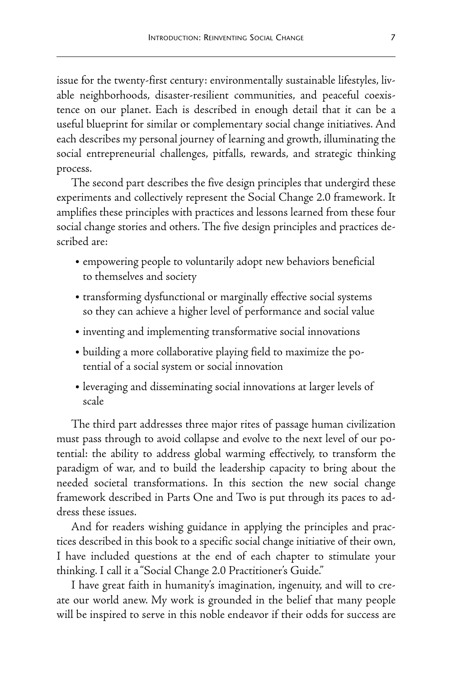issue for the twenty-first century: environmentally sustainable lifestyles, livable neighborhoods, disaster-resilient communities, and peaceful coexistence on our planet. Each is described in enough detail that it can be a useful blueprint for similar or complementary social change initiatives. And each describes my personal journey of learning and growth, illuminating the social entrepreneurial challenges, pitfalls, rewards, and strategic thinking process.

The second part describes the five design principles that undergird these experiments and collectively represent the Social Change 2.0 framework. It amplifies these principles with practices and lessons learned from these four social change stories and others. The five design principles and practices described are:

- **●** empowering people to voluntarily adopt new behaviors beneficial to themselves and society
- **●** transforming dysfunctional or marginally effective social systems so they can achieve a higher level of performance and social value
- **●** inventing and implementing transformative social innovations
- **●** building a more collaborative playing field to maximize the potential of a social system or social innovation
- **●** leveraging and disseminating social innovations at larger levels of scale

The third part addresses three major rites of passage human civilization must pass through to avoid collapse and evolve to the next level of our potential: the ability to address global warming effectively, to transform the paradigm of war, and to build the leadership capacity to bring about the needed societal transformations. In this section the new social change framework described in Parts One and Two is put through its paces to address these issues.

And for readers wishing guidance in applying the principles and practices described in this book to a specific social change initiative of their own, I have included questions at the end of each chapter to stimulate your thinking. I call it a "Social Change 2.0 Practitioner's Guide."

I have great faith in humanity's imagination, ingenuity, and will to create our world anew. My work is grounded in the belief that many people will be inspired to serve in this noble endeavor if their odds for success are